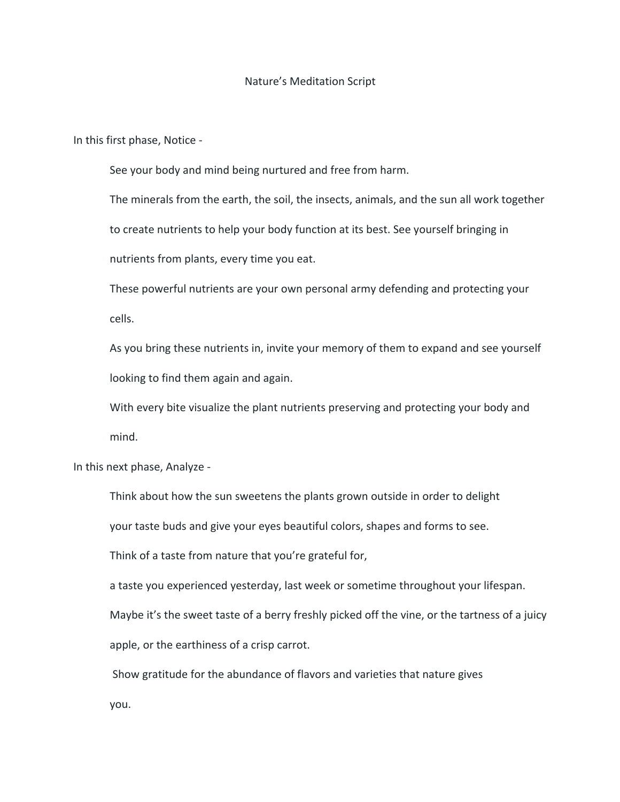## Nature's Meditation Script

In this first phase, Notice -

See your body and mind being nurtured and free from harm.

The minerals from the earth, the soil, the insects, animals, and the sun all work together to create nutrients to help your body function at its best. See yourself bringing in nutrients from plants, every time you eat.

These powerful nutrients are your own personal army defending and protecting your cells.

As you bring these nutrients in, invite your memory of them to expand and see yourself looking to find them again and again.

With every bite visualize the plant nutrients preserving and protecting your body and mind.

In this next phase, Analyze -

Think about how the sun sweetens the plants grown outside in order to delight

your taste buds and give your eyes beautiful colors, shapes and forms to see.

Think of a taste from nature that you're grateful for,

a taste you experienced yesterday, last week or sometime throughout your lifespan.

Maybe it's the sweet taste of a berry freshly picked off the vine, or the tartness of a juicy apple, or the earthiness of a crisp carrot.

Show gratitude for the abundance of flavors and varieties that nature gives you.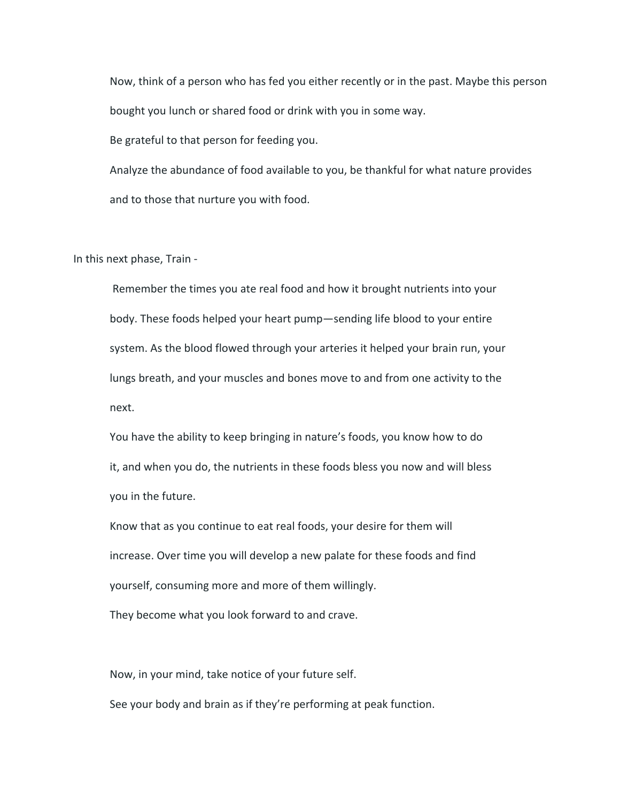Now, think of a person who has fed you either recently or in the past. Maybe this person bought you lunch or shared food or drink with you in some way.

Be grateful to that person for feeding you.

Analyze the abundance of food available to you, be thankful for what nature provides and to those that nurture you with food.

In this next phase, Train -

Remember the times you ate real food and how it brought nutrients into your body. These foods helped your heart pump—sending life blood to your entire system. As the blood flowed through your arteries it helped your brain run, your lungs breath, and your muscles and bones move to and from one activity to the next.

You have the ability to keep bringing in nature's foods, you know how to do it, and when you do, the nutrients in these foods bless you now and will bless you in the future.

Know that as you continue to eat real foods, your desire for them will increase. Over time you will develop a new palate for these foods and find yourself, consuming more and more of them willingly. They become what you look forward to and crave.

Now, in your mind, take notice of your future self.

See your body and brain as if they're performing at peak function.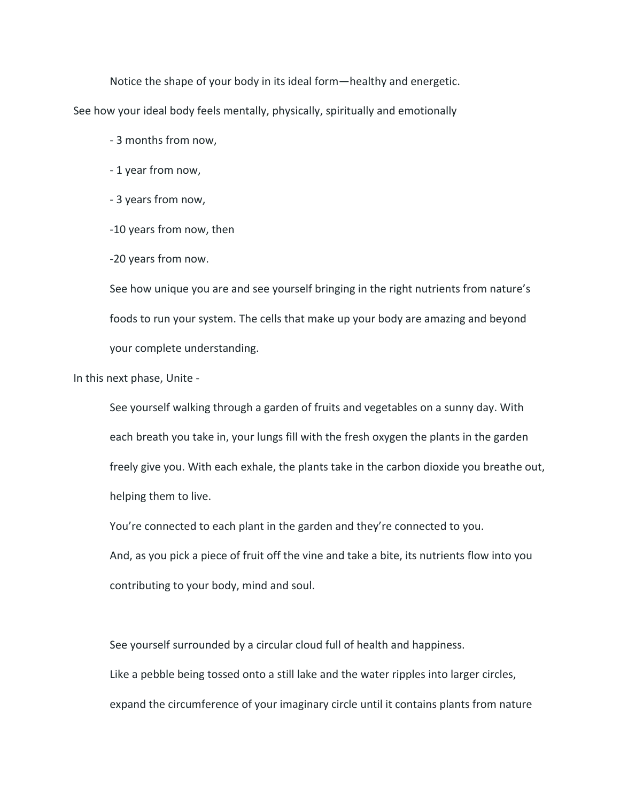Notice the shape of your body in its ideal form—healthy and energetic. See how your ideal body feels mentally, physically, spiritually and emotionally

- 3 months from now,

- 1 year from now,

- 3 years from now,

-10 years from now, then

-20 years from now.

See how unique you are and see yourself bringing in the right nutrients from nature's foods to run your system. The cells that make up your body are amazing and beyond your complete understanding.

In this next phase, Unite -

See yourself walking through a garden of fruits and vegetables on a sunny day. With each breath you take in, your lungs fill with the fresh oxygen the plants in the garden freely give you. With each exhale, the plants take in the carbon dioxide you breathe out, helping them to live.

You're connected to each plant in the garden and they're connected to you.

And, as you pick a piece of fruit off the vine and take a bite, its nutrients flow into you contributing to your body, mind and soul.

See yourself surrounded by a circular cloud full of health and happiness.

Like a pebble being tossed onto a still lake and the water ripples into larger circles, expand the circumference of your imaginary circle until it contains plants from nature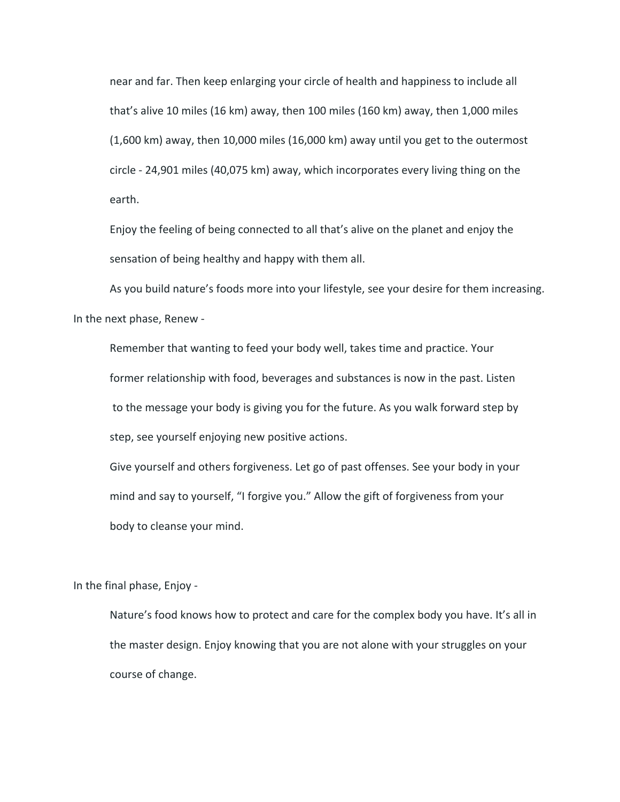near and far. Then keep enlarging your circle of health and happiness to include all that's alive 10 miles (16 km) away, then 100 miles (160 km) away, then 1,000 miles (1,600 km) away, then 10,000 miles (16,000 km) away until you get to the outermost circle - 24,901 miles (40,075 km) away, which incorporates every living thing on the earth.

Enjoy the feeling of being connected to all that's alive on the planet and enjoy the sensation of being healthy and happy with them all.

As you build nature's foods more into your lifestyle, see your desire for them increasing. In the next phase, Renew -

Remember that wanting to feed your body well, takes time and practice. Your former relationship with food, beverages and substances is now in the past. Listen to the message your body is giving you for the future. As you walk forward step by step, see yourself enjoying new positive actions.

Give yourself and others forgiveness. Let go of past offenses. See your body in your mind and say to yourself, "I forgive you." Allow the gift of forgiveness from your body to cleanse your mind.

In the final phase, Enjoy -

Nature's food knows how to protect and care for the complex body you have. It's all in the master design. Enjoy knowing that you are not alone with your struggles on your course of change.